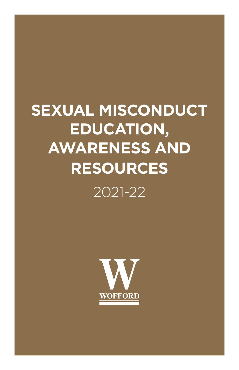# **SEXUAL MISCONDUCT EDUCATION, AWARENESS AND RESOURCES**

2021-22

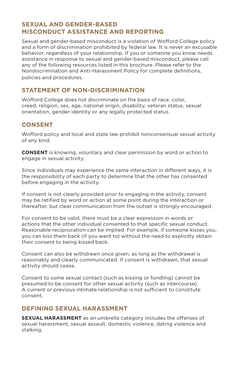# **SEXUAL AND GENDER-BASED MISCONDUCT ASSISTANCE AND REPORTING**

Sexual and gender-based misconduct is a violation of Wofford College policy and a form of discrimination prohibited by federal law. It is never an excusable behavior, regardless of your relationship. If you or someone you know needs assistance in response to sexual and gender-based misconduct, please call any of the following resources listed in this brochure. Please refer to the Nondiscrimination and Anti-Harassment Policy for complete definitions, policies and procedures.

# **STATEMENT OF NON-DISCRIMINATION**

Wofford College does not discriminate on the basis of race, color, creed, religion, sex, age, national origin, disability, veteran status, sexual orientation, gender identity or any legally protected status.

# **CONSENT**

Wofford policy and local and state law prohibit nonconsensual sexual activity of any kind.

**CONSENT** is knowing, voluntary and clear permission by word or action to engage in sexual activity.

Since individuals may experience the same interaction in different ways, it is the responsibility of each party to determine that the other has consented before engaging in the activity.

If consent is not clearly provided prior to engaging in the activity, consent may be ratified by word or action at some point during the interaction or thereafter, but clear communication from the outset is strongly encouraged.

For consent to be valid, there must be a clear expression in words or actions that the other individual consented to that specific sexual conduct. Reasonable reciprocation can be implied. For example, if someone kisses you, you can kiss them back (if you want to) without the need to explicitly obtain their consent to being kissed back.

Consent can also be withdrawn once given, as long as the withdrawal is reasonably and clearly communicated. If consent is withdrawn, that sexual activity should cease.

Consent to some sexual contact (such as kissing or fondling) cannot be presumed to be consent for other sexual activity (such as intercourse). A current or previous intimate relationship is not sufficient to constitute consent.

# **DEFINING SEXUAL HARASSMENT**

**SEXUAL HARASSMENT** as an umbrella category includes the offenses of sexual harassment, sexual assault, domestic violence, dating violence and stalking.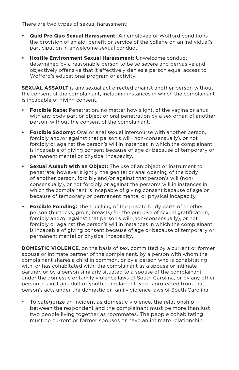There are two types of sexual harassment:

- **• Quid Pro Quo Sexual Harassment:** An employee of Wofford conditions the provision of an aid, benefit or service of the college on an individual's participation in unwelcome sexual conduct.
- **• Hostile Environment Sexual Harassment:** Unwelcome conduct determined by a reasonable person to be so severe and pervasive and objectively offensive that it effectively denies a person equal access to Wofford's educational program or activity.

**SEXUAL ASSAULT** is any sexual act directed against another person without the consent of the complainant, including instances in which the complainant is incapable of giving consent.

- **• Forcible Rape:** Penetration, no matter how slight, of the vagina or anus with any body part or object or oral penetration by a sex organ of another person, without the consent of the complainant.
- **• Forcible Sodomy:** Oral or anal sexual intercourse with another person, forcibly and/or against that person's will (non-consensually), or not forcibly or against the person's will in instances in which the complainant is incapable of giving consent because of age or because of temporary or permanent mental or physical incapacity.
- **• Sexual Assault with an Object:** The use of an object or instrument to penetrate, however slightly, the genital or anal opening of the body of another person, forcibly and/or against that person's will (nonconsensually), or not forcibly or against the person's will in instances in which the complainant is incapable of giving consent because of age or because of temporary or permanent mental or physical incapacity.
- **• Forcible Fondling:** The touching of the private body parts of another person (buttocks, groin, breasts) for the purpose of sexual gratification, forcibly and/or against that person's will (non-consensually), or not forcibly or against the person's will in instances in which the complainant is incapable of giving consent because of age or because of temporary or permanent mental or physical incapacity.

**DOMESTIC VIOLENCE**, on the basis of sex, committed by a current or former spouse or intimate partner of the complainant, by a person with whom the complainant shares a child in common, or by a person who is cohabitating with, or has cohabitated with, the complainant as a spouse or intimate partner, or by a person similarly situated to a spouse of the complainant under the domestic or family violence laws of South Carolina, or by any other person against an adult or youth complainant who is protected from that person's acts under the domestic or family violence laws of South Carolina.

• To categorize an incident as domestic violence, the relationship between the respondent and the complainant must be more than just two people living together as roommates. The people cohabitating must be current or former spouses or have an intimate relationship.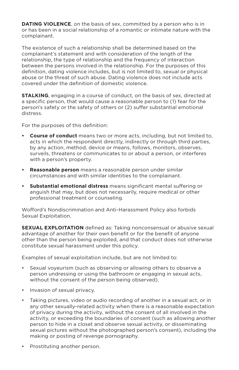**DATING VIOLENCE**, on the basis of sex, committed by a person who is in or has been in a social relationship of a romantic or intimate nature with the complainant.

The existence of such a relationship shall be determined based on the complainant's statement and with consideration of the length of the relationship, the type of relationship and the frequency of interaction between the persons involved in the relationship. For the purposes of this definition, dating violence includes, but is not limited to, sexual or physical abuse or the threat of such abuse. Dating violence does not include acts covered under the definition of domestic violence.

**STALKING**, engaging in a course of conduct, on the basis of sex, directed at a specific person, that would cause a reasonable person to (1) fear for the person's safety or the safety of others or (2) suffer substantial emotional distress.

For the purposes of this definition:

- **• Course of conduct** means two or more acts, including, but not limited to, acts in which the respondent directly, indirectly or through third parties, by any action, method, device or means, follows, monitors, observes, surveils, threatens or communicates to or about a person, or interferes with a person's property.
- **• Reasonable person** means a reasonable person under similar circumstances and with similar identities to the complainant.
- **• Substantial emotional distress** means significant mental suffering or anguish that may, but does not necessarily, require medical or other professional treatment or counseling.

Wofford's Nondiscrimination and Anti-Harassment Policy also forbids Sexual Exploitation.

**SEXUAL EXPLOITATION** defined as: Taking nonconsensual or abusive sexual advantage of another for their own benefit or for the benefit of anyone other than the person being exploited, and that conduct does not otherwise constitute sexual harassment under this policy.

Examples of sexual exploitation include, but are not limited to:

- Sexual voyeurism (such as observing or allowing others to observe a person undressing or using the bathroom or engaging in sexual acts, without the consent of the person being observed).
- Invasion of sexual privacy.
- Taking pictures, video or audio recording of another in a sexual act, or in any other sexually-related activity when there is a reasonable expectation of privacy during the activity, without the consent of all involved in the activity, or exceeding the boundaries of consent (such as allowing another person to hide in a closet and observe sexual activity, or disseminating sexual pictures without the photographed person's consent), including the making or posting of revenge pornography.
- Prostituting another person.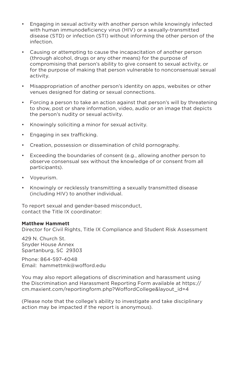- Engaging in sexual activity with another person while knowingly infected with human immunodeficiency virus (HIV) or a sexually-transmitted disease (STD) or infection (STI) without informing the other person of the infection.
- Causing or attempting to cause the incapacitation of another person (through alcohol, drugs or any other means) for the purpose of compromising that person's ability to give consent to sexual activity, or for the purpose of making that person vulnerable to nonconsensual sexual activity.
- Misappropriation of another person's identity on apps, websites or other venues designed for dating or sexual connections.
- Forcing a person to take an action against that person's will by threatening to show, post or share information, video, audio or an image that depicts the person's nudity or sexual activity.
- Knowingly soliciting a minor for sexual activity.
- Engaging in sex trafficking.
- Creation, possession or dissemination of child pornography.
- Exceeding the boundaries of consent (e.g., allowing another person to observe consensual sex without the knowledge of or consent from all participants).
- Voyeurism.
- Knowingly or recklessly transmitting a sexually transmitted disease (including HIV) to another individual.

To report sexual and gender-based misconduct, contact the Title IX coordinator:

#### **Matthew Hammett**

Director for Civil Rights, Title IX Compliance and Student Risk Assessment

429 N. Church St. Snyder House Annex Spartanburg, SC 29303

Phone: 864-597-4048 Email: hammettmk@wofford.edu

You may also report allegations of discrimination and harassment using the Discrimination and Harassment Reporting Form available at https:// cm.maxient.com/reportingform.php?WoffordCollege&layout\_id=4

(Please note that the college's ability to investigate and take disciplinary action may be impacted if the report is anonymous).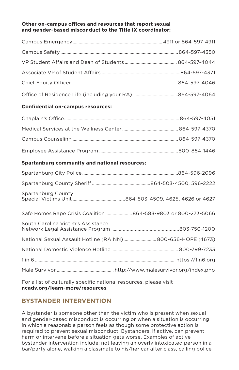#### **Other on-campus offices and resources that report sexual and gender-based misconduct to the Title IX coordinator:**

#### **Confidential on-campus resources:**

#### **Spartanburg community and national resources:**

| Spartanburg County                                             |  |  |
|----------------------------------------------------------------|--|--|
| Safe Homes Rape Crisis Coalition  864-583-9803 or 800-273-5066 |  |  |
| South Carolina Victim's Assistance                             |  |  |
| National Sexual Assault Hotline (RAINN) 800-656-HOPE (4673)    |  |  |
|                                                                |  |  |
|                                                                |  |  |
|                                                                |  |  |
|                                                                |  |  |

For a list of culturally specific national resources, please visit **ncadv.org/learn-more/resources**.

# **BYSTANDER INTERVENTION**

A bystander is someone other than the victim who is present when sexual and gender-based misconduct is occurring or when a situation is occurring in which a reasonable person feels as though some protective action is required to prevent sexual misconduct. Bystanders, if active, can prevent harm or intervene before a situation gets worse. Examples of active bystander intervention include: not leaving an overly intoxicated person in a bar/party alone, walking a classmate to his/her car after class, calling police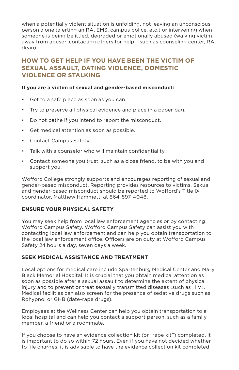when a potentially violent situation is unfolding, not leaving an unconscious person alone (alerting an RA, EMS, campus police, etc.) or intervening when someone is being belittled, degraded or emotionally abused (walking victim away from abuser, contacting others for help – such as counseling center, RA, dean).

# **HOW TO GET HELP IF YOU HAVE BEEN THE VICTIM OF SEXUAL ASSAULT, DATING VIOLENCE, DOMESTIC VIOLENCE OR STALKING**

#### **If you are a victim of sexual and gender-based misconduct:**

- Get to a safe place as soon as you can.
- Try to preserve all physical evidence and place in a paper bag.
- Do not bathe if you intend to report the misconduct.
- Get medical attention as soon as possible.
- Contact Campus Safety.
- Talk with a counselor who will maintain confidentiality.
- Contact someone you trust, such as a close friend, to be with you and support you.

Wofford College strongly supports and encourages reporting of sexual and gender-based misconduct. Reporting provides resources to victims. Sexual and gender-based misconduct should be reported to Wofford's Title IX coordinator, Matthew Hammett, at 864-597-4048.

#### **ENSURE YOUR PHYSICAL SAFETY**

You may seek help from local law enforcement agencies or by contacting Wofford Campus Safety. Wofford Campus Safety can assist you with contacting local law enforcement and can help you obtain transportation to the local law enforcement office. Officers are on duty at Wofford Campus Safety 24 hours a day, seven days a week.

#### **SEEK MEDICAL ASSISTANCE AND TREATMENT**

Local options for medical care include Spartanburg Medical Center and Mary Black Memorial Hospital. It is crucial that you obtain medical attention as soon as possible after a sexual assault to determine the extent of physical injury and to prevent or treat sexually transmitted diseases (such as HIV). Medical facilities can also screen for the presence of sedative drugs such as Rohypnol or GHB (date-rape drugs).

Employees at the Wellness Center can help you obtain transportation to a local hospital and can help you contact a support person, such as a family member, a friend or a roommate.

If you choose to have an evidence collection kit (or "rape kit") completed, it is important to do so within 72 hours. Even if you have not decided whether to file charges, it is advisable to have the evidence collection kit completed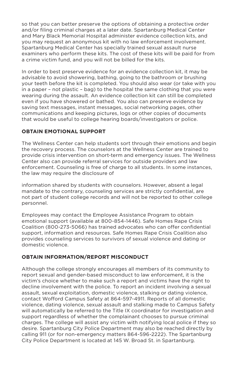so that you can better preserve the options of obtaining a protective order and/or filing criminal charges at a later date. Spartanburg Medical Center and Mary Black Memorial Hospital administer evidence collection kits, and you may request an anonymous kit with no law enforcement involvement. Spartanburg Medical Center has specially trained sexual assault nurse examiners who perform these kits. The cost of these kits will be paid for from a crime victim fund, and you will not be billed for the kits.

In order to best preserve evidence for an evidence collection kit, it may be advisable to avoid showering, bathing, going to the bathroom or brushing your teeth before the kit is completed. You should also wear (or take with you in a paper – not plastic – bag) to the hospital the same clothing that you were wearing during the assault. An evidence collection kit can still be completed even if you have showered or bathed. You also can preserve evidence by saving text messages, instant messages, social networking pages, other communications and keeping pictures, logs or other copies of documents that would be useful to college hearing boards/investigators or police.

#### **OBTAIN EMOTIONAL SUPPORT**

The Wellness Center can help students sort through their emotions and begin the recovery process. The counselors at the Wellness Center are trained to provide crisis intervention on short-term and emergency issues. The Wellness Center also can provide referral services for outside providers and law enforcement. Counseling is free of charge to all students. In some instances, the law may require the disclosure of

information shared by students with counselors. However, absent a legal mandate to the contrary, counseling services are strictly confidential, are not part of student college records and will not be reported to other college personnel.

Employees may contact the Employee Assistance Program to obtain emotional support (available at 800-854-1446). Safe Homes Rape Crisis Coalition (800-273-5066) has trained advocates who can offer confidential support, information and resources. Safe Homes Rape Crisis Coalition also provides counseling services to survivors of sexual violence and dating or domestic violence.

#### **OBTAIN INFORMATION/REPORT MISCONDUCT**

Although the college strongly encourages all members of its community to report sexual and gender-based misconduct to law enforcement, it is the victim's choice whether to make such a report and victims have the right to decline involvement with the police. To report an incident involving a sexual assault, sexual exploitation, domestic violence, stalking or dating violence, contact Wofford Campus Safety at 864-597-4911. Reports of all domestic violence, dating violence, sexual assault and stalking made to Campus Safety will automatically be referred to the Title IX coordinator for investigation and support regardless of whether the complainant chooses to pursue criminal charges. The college will assist any victim with notifying local police if they so desire. Spartanburg City Police Department may also be reached directly by calling 911 (or for non-emergency matters 864-596-2222). The Spartanburg City Police Department is located at 145 W. Broad St. in Spartanburg.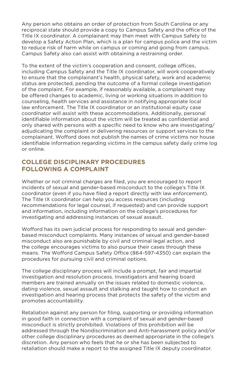Any person who obtains an order of protection from South Carolina or any reciprocal state should provide a copy to Campus Safety and the office of the Title IX coordinator. A complainant may then meet with Campus Safety to develop a Safety Action Plan, which is a plan for campus police and the victim to reduce risk of harm while on campus or coming and going from campus. Campus Safety also can assist with obtaining a restraining order.

To the extent of the victim's cooperation and consent, college offices, including Campus Safety and the Title IX coordinator, will work cooperatively to ensure that the complainant's health, physical safety, work and academic status are protected, pending the outcome of a formal college investigation of the complaint. For example, if reasonably available, a complainant may be offered changes to academic, living or working situations in addition to counseling, health services and assistance in notifying appropriate local law enforcement. The Title IX coordinator or an institutional equity case coordinator will assist with these accommodations. Additionally, personal identifiable information about the victim will be treated as confidential and only shared with persons with a specific need to know who are investigating/ adjudicating the complaint or delivering resources or support services to the complainant. Wofford does not publish the names of crime victims nor house identifiable information regarding victims in the campus safety daily crime log or online.

# **COLLEGE DISCIPLINARY PROCEDURES FOLLOWING A COMPLAINT**

Whether or not criminal charges are filed, you are encouraged to report incidents of sexual and gender-based misconduct to the college's Title IX coordinator (even if you have filed a report directly with law enforcement). The Title IX coordinator can help you access resources (including recommendations for legal counsel, if requested) and can provide support and information, including information on the college's procedures for investigating and addressing instances of sexual assault.

Wofford has its own judicial process for responding to sexual and genderbased misconduct complaints. Many instances of sexual and gender-based misconduct also are punishable by civil and criminal legal action, and the college encourages victims to also pursue their cases through these means. The Wofford Campus Safety Office (864-597-4350) can explain the procedures for pursuing civil and criminal options.

The college disciplinary process will include a prompt, fair and impartial investigation and resolution process. Investigators and hearing board members are trained annually on the issues related to domestic violence, dating violence, sexual assault and stalking and taught how to conduct an investigation and hearing process that protects the safety of the victim and promotes accountability.

Retaliation against any person for filing, supporting or providing information in good faith in connection with a complaint of sexual and gender-based misconduct is strictly prohibited. Violations of this prohibition will be addressed through the Nondiscrimination and Anti-harassment policy and/or other college disciplinary procedures as deemed appropriate in the college's discretion. Any person who feels that he or she has been subjected to retaliation should make a report to the assigned Title IX deputy coordinator.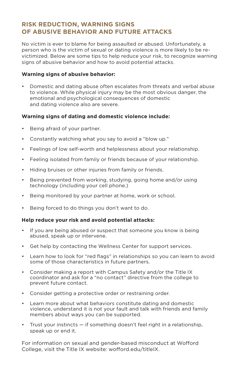# **RISK REDUCTION, WARNING SIGNS OF ABUSIVE BEHAVIOR AND FUTURE ATTACKS**

No victim is ever to blame for being assaulted or abused. Unfortunately, a person who is the victim of sexual or dating violence is more likely to be revictimized. Below are some tips to help reduce your risk, to recognize warning signs of abusive behavior and how to avoid potential attacks.

#### **Warning signs of abusive behavior:**

• Domestic and dating abuse often escalates from threats and verbal abuse to violence. While physical injury may be the most obvious danger, the emotional and psychological consequences of domestic and dating violence also are severe.

#### **Warning signs of dating and domestic violence include:**

- Being afraid of your partner.
- Constantly watching what you say to avoid a "blow up."
- Feelings of low self-worth and helplessness about your relationship.
- Feeling isolated from family or friends because of your relationship.
- Hiding bruises or other injuries from family or friends.
- Being prevented from working, studying, going home and/or using technology (including your cell phone.)
- Being monitored by your partner at home, work or school.
- Being forced to do things you don't want to do.

#### **Help reduce your risk and avoid potential attacks:**

- If you are being abused or suspect that someone you know is being abused, speak up or intervene.
- Get help by contacting the Wellness Center for support services.
- Learn how to look for "red flags" in relationships so you can learn to avoid some of those characteristics in future partners.
- Consider making a report with Campus Safety and/or the Title IX coordinator and ask for a "no contact" directive from the college to prevent future contact.
- Consider getting a protective order or restraining order.
- Learn more about what behaviors constitute dating and domestic violence, understand it is not your fault and talk with friends and family members about ways you can be supported.
- Trust your instincts if something doesn't feel right in a relationship, speak up or end it.

For information on sexual and gender-based misconduct at Wofford College, visit the Title IX website: wofford.edu/titleIX.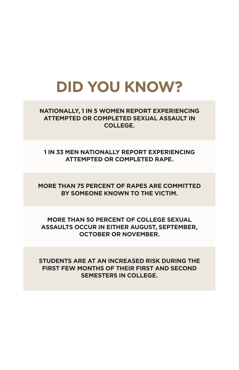# **DID YOU KNOW?**

**NATIONALLY, 1 IN 5 WOMEN REPORT EXPERIENCING ATTEMPTED OR COMPLETED SEXUAL ASSAULT IN COLLEGE.**

**1 IN 33 MEN NATIONALLY REPORT EXPERIENCING ATTEMPTED OR COMPLETED RAPE.**

**MORE THAN 75 PERCENT OF RAPES ARE COMMITTED BY SOMEONE KNOWN TO THE VICTIM.**

**MORE THAN 50 PERCENT OF COLLEGE SEXUAL ASSAULTS OCCUR IN EITHER AUGUST, SEPTEMBER, OCTOBER OR NOVEMBER.**

**STUDENTS ARE AT AN INCREASED RISK DURING THE FIRST FEW MONTHS OF THEIR FIRST AND SECOND SEMESTERS IN COLLEGE.**